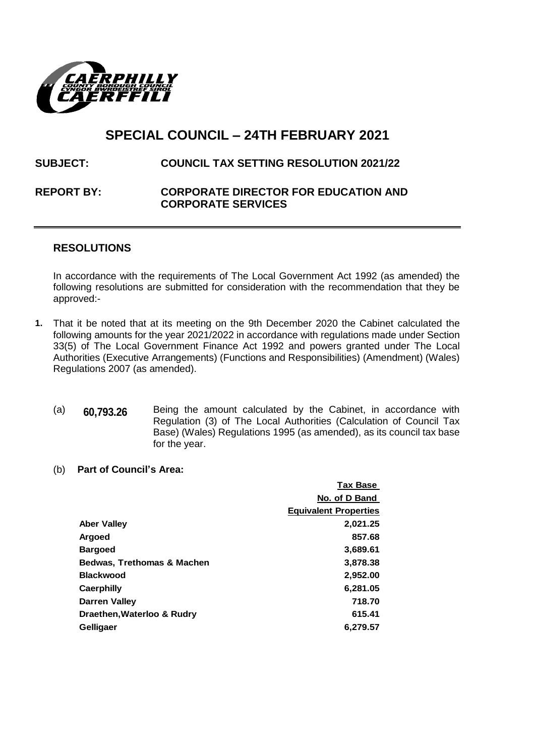

# **SPECIAL COUNCIL – 24TH FEBRUARY 2021**

## **SUBJECT: COUNCIL TAX SETTING RESOLUTION 2021/22**

### **REPORT BY: CORPORATE DIRECTOR FOR EDUCATION AND CORPORATE SERVICES**

### **RESOLUTIONS**

In accordance with the requirements of The Local Government Act 1992 (as amended) the following resolutions are submitted for consideration with the recommendation that they be approved:-

- **1.** That it be noted that at its meeting on the 9th December 2020 the Cabinet calculated the following amounts for the year 2021/2022 in accordance with regulations made under Section 33(5) of The Local Government Finance Act 1992 and powers granted under The Local Authorities (Executive Arrangements) (Functions and Responsibilities) (Amendment) (Wales) Regulations 2007 (as amended).
	- (a) **60,793.26** Being the amount calculated by the Cabinet, in accordance with Regulation (3) of The Local Authorities (Calculation of Council Tax Base) (Wales) Regulations 1995 (as amended), as its council tax base for the year.
	- (b) **Part of Council's Area:**

|                                       | <b>Tax Base</b>              |
|---------------------------------------|------------------------------|
|                                       | No. of D Band                |
|                                       | <b>Equivalent Properties</b> |
| <b>Aber Valley</b>                    | 2,021.25                     |
| <b>Argoed</b>                         | 857.68                       |
| <b>Bargoed</b>                        | 3,689.61                     |
| <b>Bedwas, Trethomas &amp; Machen</b> | 3,878.38                     |
| <b>Blackwood</b>                      | 2,952.00                     |
| <b>Caerphilly</b>                     | 6,281.05                     |
| <b>Darren Valley</b>                  | 718.70                       |
| Draethen, Waterloo & Rudry            | 615.41                       |
| <b>Gelligaer</b>                      | 6,279.57                     |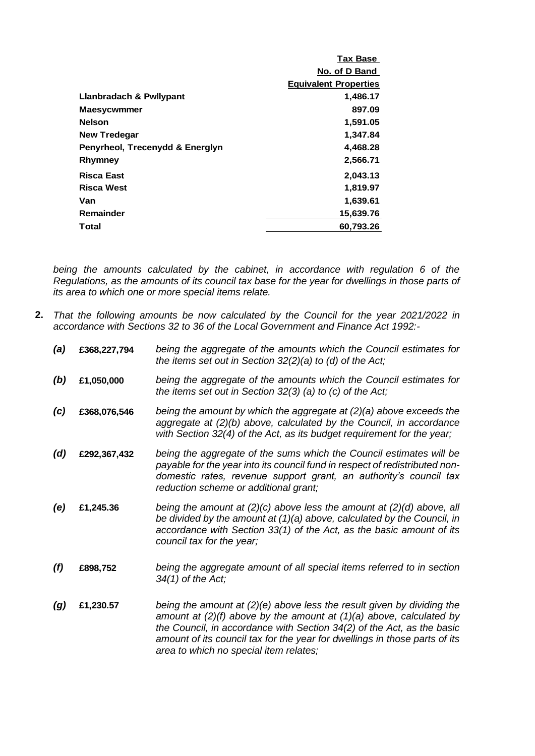|                                 | Tax Base                     |
|---------------------------------|------------------------------|
|                                 | No. of D Band                |
|                                 | <b>Equivalent Properties</b> |
| Llanbradach & Pwllypant         | 1,486.17                     |
| <b>Maesycwmmer</b>              | 897.09                       |
| <b>Nelson</b>                   | 1,591.05                     |
| <b>New Tredegar</b>             | 1,347.84                     |
| Penyrheol, Trecenydd & Energlyn | 4,468.28                     |
| Rhymney                         | 2,566.71                     |
| <b>Risca East</b>               | 2,043.13                     |
| <b>Risca West</b>               | 1,819.97                     |
| Van                             | 1,639.61                     |
| Remainder                       | 15,639.76                    |
| Total                           | 60.793.26                    |
|                                 |                              |

*being the amounts calculated by the cabinet, in accordance with regulation 6 of the Regulations, as the amounts of its council tax base for the year for dwellings in those parts of its area to which one or more special items relate.*

- **2.** *That the following amounts be now calculated by the Council for the year 2021/2022 in accordance with Sections 32 to 36 of the Local Government and Finance Act 1992:-*
	- *(a)* **£368,227,794** *being the aggregate of the amounts which the Council estimates for the items set out in Section 32(2)(a) to (d) of the Act;*
	- *(b)* **£1,050,000** *being the aggregate of the amounts which the Council estimates for the items set out in Section 32(3) (a) to (c) of the Act;*
	- *(c)* **£368,076,546** *being the amount by which the aggregate at (2)(a) above exceeds the aggregate at (2)(b) above, calculated by the Council, in accordance with Section 32(4) of the Act, as its budget requirement for the year;*
	- *(d)* **£292,367,432** *being the aggregate of the sums which the Council estimates will be payable for the year into its council fund in respect of redistributed nondomestic rates, revenue support grant, an authority's council tax reduction scheme or additional grant;*
	- *(e)* **£1,245.36** *being the amount at (2)(c) above less the amount at (2)(d) above, all be divided by the amount at (1)(a) above, calculated by the Council, in accordance with Section 33(1) of the Act, as the basic amount of its council tax for the year;*
	- *(f)* **£898,752** *being the aggregate amount of all special items referred to in section 34(1) of the Act;*
	- *(g)* **£1,230.57** *being the amount at (2)(e) above less the result given by dividing the amount at (2)(f) above by the amount at (1)(a) above, calculated by the Council, in accordance with Section 34(2) of the Act, as the basic amount of its council tax for the year for dwellings in those parts of its area to which no special item relates;*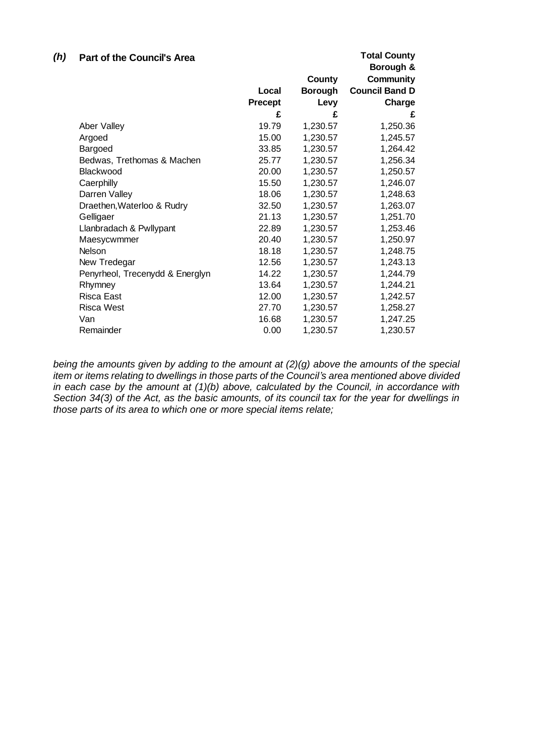| (h) | <b>Part of the Council's Area</b> |                |                | <b>Total County</b><br>Borough & |
|-----|-----------------------------------|----------------|----------------|----------------------------------|
|     |                                   |                | County         | <b>Community</b>                 |
|     |                                   | Local          | <b>Borough</b> | <b>Council Band D</b>            |
|     |                                   | <b>Precept</b> | Levy           | Charge                           |
|     |                                   | £              | £              | £                                |
|     | Aber Valley                       | 19.79          | 1,230.57       | 1,250.36                         |
|     | Argoed                            | 15.00          | 1,230.57       | 1,245.57                         |
|     | Bargoed                           | 33.85          | 1,230.57       | 1,264.42                         |
|     | Bedwas, Trethomas & Machen        | 25.77          | 1,230.57       | 1,256.34                         |
|     | Blackwood                         | 20.00          | 1,230.57       | 1,250.57                         |
|     | Caerphilly                        | 15.50          | 1,230.57       | 1,246.07                         |
|     | Darren Valley                     | 18.06          | 1,230.57       | 1,248.63                         |
|     | Draethen, Waterloo & Rudry        | 32.50          | 1,230.57       | 1,263.07                         |
|     | Gelligaer                         | 21.13          | 1,230.57       | 1,251.70                         |
|     | Llanbradach & Pwllypant           | 22.89          | 1,230.57       | 1,253.46                         |
|     | Maesycwmmer                       | 20.40          | 1,230.57       | 1,250.97                         |
|     | Nelson                            | 18.18          | 1,230.57       | 1,248.75                         |
|     | New Tredegar                      | 12.56          | 1,230.57       | 1,243.13                         |
|     | Penyrheol, Trecenydd & Energlyn   | 14.22          | 1,230.57       | 1,244.79                         |
|     | Rhymney                           | 13.64          | 1,230.57       | 1,244.21                         |
|     | Risca East                        | 12.00          | 1,230.57       | 1,242.57                         |
|     | <b>Risca West</b>                 | 27.70          | 1,230.57       | 1,258.27                         |
|     | Van                               | 16.68          | 1,230.57       | 1,247.25                         |
|     | Remainder                         | 0.00           | 1,230.57       | 1,230.57                         |

*being the amounts given by adding to the amount at (2)(g) above the amounts of the special item or items relating to dwellings in those parts of the Council's area mentioned above divided in each case by the amount at (1)(b) above, calculated by the Council, in accordance with Section 34(3) of the Act, as the basic amounts, of its council tax for the year for dwellings in those parts of its area to which one or more special items relate;*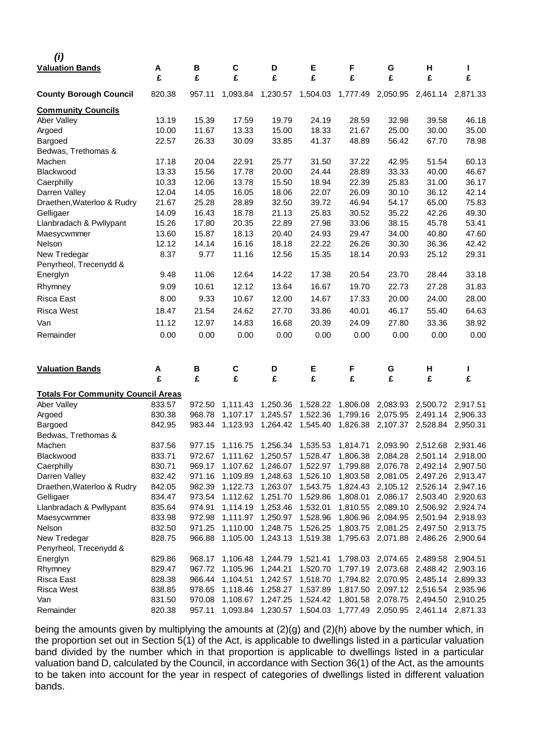| (i)                                       |        |        |          |          |          |          |                            |                                     |          |
|-------------------------------------------|--------|--------|----------|----------|----------|----------|----------------------------|-------------------------------------|----------|
| <b>Valuation Bands</b>                    | Α      | B      | C        | D        | Е        | F        | G                          | н                                   | L        |
|                                           | £      | £      | £        | £        | £        | £        | £                          | £                                   | £        |
| <b>County Borough Council</b>             | 820.38 | 957.11 | 1,093.84 | 1,230.57 | 1,504.03 | 1,777.49 | 2,050.95                   | 2,461.14                            | 2,871.33 |
| <b>Community Councils</b>                 |        |        |          |          |          |          |                            |                                     |          |
| Aber Valley                               | 13.19  | 15.39  | 17.59    | 19.79    | 24.19    | 28.59    | 32.98                      | 39.58                               | 46.18    |
| Argoed                                    | 10.00  | 11.67  | 13.33    | 15.00    | 18.33    | 21.67    | 25.00                      | 30.00                               | 35.00    |
| Bargoed                                   | 22.57  | 26.33  | 30.09    | 33.85    | 41.37    | 48.89    | 56.42                      | 67.70                               | 78.98    |
| Bedwas, Trethomas &                       |        |        |          |          |          |          |                            |                                     |          |
| Machen                                    | 17.18  | 20.04  | 22.91    | 25.77    | 31.50    | 37.22    | 42.95                      | 51.54                               | 60.13    |
| Blackwood                                 | 13.33  | 15.56  | 17.78    | 20.00    | 24.44    | 28.89    | 33.33                      | 40.00                               | 46.67    |
| Caerphilly                                | 10.33  | 12.06  | 13.78    | 15.50    | 18.94    | 22.39    | 25.83                      | 31.00                               | 36.17    |
| Darren Valley                             | 12.04  | 14.05  | 16.05    | 18.06    | 22.07    | 26.09    | 30.10                      | 36.12                               | 42.14    |
| Draethen, Waterloo & Rudry                | 21.67  | 25.28  | 28.89    | 32.50    | 39.72    | 46.94    | 54.17                      | 65.00                               | 75.83    |
| Gelligaer                                 | 14.09  | 16.43  | 18.78    | 21.13    | 25.83    | 30.52    | 35.22                      | 42.26                               | 49.30    |
| Llanbradach & Pwllypant                   | 15.26  | 17.80  | 20.35    | 22.89    | 27.98    | 33.06    | 38.15                      | 45.78                               | 53.41    |
| Maesycwmmer                               | 13.60  | 15.87  | 18.13    | 20.40    | 24.93    | 29.47    | 34.00                      | 40.80                               | 47.60    |
| <b>Nelson</b>                             | 12.12  | 14.14  | 16.16    | 18.18    | 22.22    | 26.26    | 30.30                      | 36.36                               | 42.42    |
| New Tredegar                              | 8.37   | 9.77   | 11.16    | 12.56    | 15.35    | 18.14    | 20.93                      | 25.12                               | 29.31    |
| Penyrheol, Trecenydd &                    |        |        |          |          |          |          |                            |                                     |          |
| Energlyn                                  | 9.48   | 11.06  | 12.64    | 14.22    | 17.38    | 20.54    | 23.70                      | 28.44                               | 33.18    |
| Rhymney                                   | 9.09   | 10.61  | 12.12    | 13.64    | 16.67    | 19.70    | 22.73                      | 27.28                               | 31.83    |
| Risca East                                | 8.00   | 9.33   | 10.67    | 12.00    | 14.67    | 17.33    | 20.00                      | 24.00                               | 28.00    |
| <b>Risca West</b>                         | 18.47  | 21.54  | 24.62    | 27.70    | 33.86    | 40.01    | 46.17                      | 55.40                               | 64.63    |
| Van                                       | 11.12  | 12.97  | 14.83    | 16.68    | 20.39    | 24.09    | 27.80                      | 33.36                               | 38.92    |
|                                           | 0.00   | 0.00   | 0.00     | 0.00     | 0.00     | 0.00     | 0.00                       | 0.00                                | 0.00     |
| Remainder                                 |        |        |          |          |          |          |                            |                                     |          |
| <b>Valuation Bands</b>                    | Α<br>£ | В<br>£ | C<br>£   | D<br>£   | Е<br>£   | F<br>£   | G<br>£                     | н<br>£                              | L<br>£   |
| <b>Totals For Community Council Areas</b> |        |        |          |          |          |          |                            |                                     |          |
| Aber Valley                               | 833.57 | 972.50 | 1,111.43 | 1,250.36 | 1,528.22 | 1,806.08 | 2,083.93                   | 2,500.72                            | 2,917.51 |
| Argoed                                    | 830.38 | 968.78 | 1,107.17 | 1,245.57 | 1,522.36 | 1,799.16 | 2,075.95                   | 2,491.14                            | 2,906.33 |
| Bargoed                                   | 842.95 | 983.44 | 1,123.93 | 1,264.42 | 1,545.40 | 1,826.38 | 2,107.37                   | 2,528.84                            | 2,950.31 |
| Bedwas, Trethomas &                       |        |        |          |          |          |          |                            |                                     |          |
| Machen                                    | 837.56 | 977.15 | 1,116.75 | 1,256.34 | 1,535.53 | 1,814.71 | 2,093.90                   | 2,512.68                            | 2,931.46 |
| Blackwood                                 | 833.71 | 972.67 | 1,111.62 | 1,250.57 | 1,528.47 |          | 1,806.38 2,084.28 2,501.14 |                                     | 2,918.00 |
| Caerphilly                                | 830.71 | 969.17 | 1,107.62 | 1,246.07 | 1,522.97 | 1,799.88 | 2,076.78 2,492.14          |                                     | 2,907.50 |
| Darren Valley                             | 832.42 | 971.16 | 1,109.89 | 1,248.63 | 1,526.10 |          | 1,803.58 2,081.05 2,497.26 |                                     | 2,913.47 |
| Draethen, Waterloo & Rudry                | 842.05 | 982.39 | 1,122.73 | 1,263.07 | 1,543.75 |          | 1,824.43 2,105.12 2,526.14 |                                     | 2,947.16 |
| Gelligaer                                 | 834.47 | 973.54 | 1,112.62 | 1,251.70 | 1,529.86 | 1,808.01 | 2,086.17                   | 2,503.40                            | 2,920.63 |
| Llanbradach & Pwllypant                   | 835.64 | 974.91 | 1,114.19 | 1,253.46 | 1,532.01 | 1,810.55 | 2,089.10                   | 2,506.92                            | 2,924.74 |
| Maesycwmmer                               | 833.98 | 972.98 | 1,111.97 | 1,250.97 | 1,528.96 | 1,806.96 | 2,084.95                   | 2,501.94                            | 2,918.93 |
| Nelson                                    | 832.50 | 971.25 | 1,110.00 | 1,248.75 | 1,526.25 |          | 1,803.75 2,081.25 2,497.50 |                                     | 2,913.75 |
| New Tredegar                              | 828.75 | 966.88 | 1,105.00 | 1,243.13 | 1,519.38 |          | 1,795.63 2,071.88 2,486.26 |                                     | 2,900.64 |
| Penyrheol, Trecenydd &                    |        |        |          |          |          |          |                            |                                     |          |
| Energlyn                                  | 829.86 | 968.17 | 1,106.48 | 1,244.79 | 1,521.41 |          | 1,798.03 2,074.65          | 2,489.58                            | 2,904.51 |
| Rhymney                                   | 829.47 | 967.72 | 1,105.96 | 1,244.21 | 1,520.70 |          | 1,797.19 2,073.68          | 2,488.42                            | 2,903.16 |
| Risca East                                | 828.38 | 966.44 | 1,104.51 | 1,242.57 | 1,518.70 |          | 1,794.82 2,070.95 2,485.14 |                                     | 2,899.33 |
| <b>Risca West</b>                         | 838.85 | 978.65 | 1,118.46 | 1,258.27 | 1,537.89 |          |                            | 1,817.50 2,097.12 2,516.54 2,935.96 |          |
| Van                                       | 831.50 | 970.08 | 1,108.67 | 1,247.25 | 1,524.42 |          | 1,801.58 2,078.75 2,494.50 |                                     | 2,910.25 |
| Remainder                                 | 820.38 | 957.11 | 1,093.84 | 1,230.57 | 1,504.03 |          | 1,777.49 2,050.95 2,461.14 |                                     | 2,871.33 |

being the amounts given by multiplying the amounts at (2)(g) and (2)(h) above by the number which, in the proportion set out in Section 5(1) of the Act, is applicable to dwellings listed in a particular valuation band divided by the number which in that proportion is applicable to dwellings listed in a particular valuation band D, calculated by the Council, in accordance with Section 36(1) of the Act, as the amounts to be taken into account for the year in respect of categories of dwellings listed in different valuation bands.